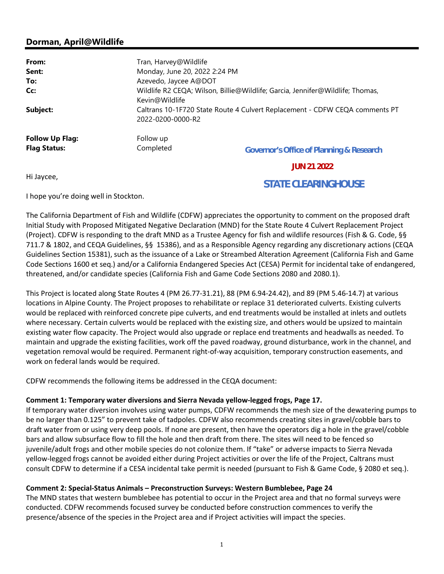# Dorman, April@Wildlife

| From:                  | Tran, Harvey@Wildlife                                                                                                                                                                               |                                                     |
|------------------------|-----------------------------------------------------------------------------------------------------------------------------------------------------------------------------------------------------|-----------------------------------------------------|
| Sent:                  | Monday, June 20, 2022 2:24 PM                                                                                                                                                                       |                                                     |
| To:                    | Azevedo, Jaycee A@DOT                                                                                                                                                                               |                                                     |
| Cc:                    | Wildlife R2 CEQA; Wilson, Billie@Wildlife; Garcia, Jennifer@Wildlife; Thomas,<br>Kevin@Wildlife<br>Caltrans 10-1F720 State Route 4 Culvert Replacement - CDFW CEQA comments PT<br>2022-0200-0000-R2 |                                                     |
| Subject:               |                                                                                                                                                                                                     |                                                     |
| <b>Follow Up Flag:</b> | Follow up                                                                                                                                                                                           |                                                     |
| <b>Flag Status:</b>    | Completed                                                                                                                                                                                           | <b>Governor's Office of Planning &amp; Research</b> |
|                        |                                                                                                                                                                                                     | <b>JUN 21 2022</b>                                  |
| Hi Invcoo              |                                                                                                                                                                                                     |                                                     |

Hi Jaycee,

# **STATE CLEARINGHOUSE**

I hope you're doing well in Stockton.

The California Department of Fish and Wildlife (CDFW) appreciates the opportunity to comment on the proposed draft Initial Study with Proposed Mitigated Negative Declaration (MND) for the State Route 4 Culvert Replacement Project (Project). CDFW is responding to the draft MND as a Trustee Agency for fish and wildlife resources (Fish & G. Code, §§ 711.7 & 1802, and CEQA Guidelines, §§ 15386), and as a Responsible Agency regarding any discretionary actions (CEQA Guidelines Section 15381), such as the issuance of a Lake or Streambed Alteration Agreement (California Fish and Game Code Sections 1600 et seq.) and/or a California Endangered Species Act (CESA) Permit for incidental take of endangered, threatened, and/or candidate species (California Fish and Game Code Sections 2080 and 2080.1).

This Project is located along State Routes 4 (PM 26.77-31.21), 88 (PM 6.94-24.42), and 89 (PM 5.46-14.7) at various locations in Alpine County. The Project proposes to rehabilitate or replace 31 deteriorated culverts. Existing culverts would be replaced with reinforced concrete pipe culverts, and end treatments would be installed at inlets and outlets where necessary. Certain culverts would be replaced with the existing size, and others would be upsized to maintain existing water flow capacity. The Project would also upgrade or replace end treatments and headwalls as needed. To maintain and upgrade the existing facilities, work off the paved roadway, ground disturbance, work in the channel, and vegetation removal would be required. Permanent right-of-way acquisition, temporary construction easements, and work on federal lands would be required.

CDFW recommends the following items be addressed in the CEQA document:

## Comment 1: Temporary water diversions and Sierra Nevada yellow-legged frogs, Page 17.

If temporary water diversion involves using water pumps, CDFW recommends the mesh size of the dewatering pumps to be no larger than 0.125" to prevent take of tadpoles. CDFW also recommends creating sites in gravel/cobble bars to draft water from or using very deep pools. If none are present, then have the operators dig a hole in the gravel/cobble bars and allow subsurface flow to fill the hole and then draft from there. The sites will need to be fenced so juvenile/adult frogs and other mobile species do not colonize them. If "take" or adverse impacts to Sierra Nevada yellow-legged frogs cannot be avoided either during Project activities or over the life of the Project, Caltrans must consult CDFW to determine if a CESA incidental take permit is needed (pursuant to Fish & Game Code, § 2080 et seq.).

# Comment 2: Special-Status Animals – Preconstruction Surveys: Western Bumblebee, Page 24

The MND states that western bumblebee has potential to occur in the Project area and that no formal surveys were conducted. CDFW recommends focused survey be conducted before construction commences to verify the presence/absence of the species in the Project area and if Project activities will impact the species.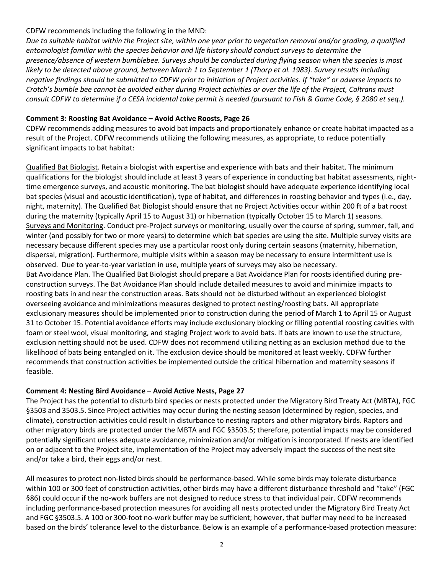#### CDFW recommends including the following in the MND:

Due to suitable habitat within the Project site, within one year prior to vegetation removal and/or grading, a qualified entomologist familiar with the species behavior and life history should conduct surveys to determine the presence/absence of western bumblebee. Surveys should be conducted during flying season when the species is most likely to be detected above ground, between March 1 to September 1 (Thorp et al. 1983). Survey results including negative findings should be submitted to CDFW prior to initiation of Project activities. If "take" or adverse impacts to Crotch's bumble bee cannot be avoided either during Project activities or over the life of the Project, Caltrans must consult CDFW to determine if a CESA incidental take permit is needed (pursuant to Fish & Game Code, § 2080 et seq.).

### Comment 3: Roosting Bat Avoidance – Avoid Active Roosts, Page 26

CDFW recommends adding measures to avoid bat impacts and proportionately enhance or create habitat impacted as a result of the Project. CDFW recommends utilizing the following measures, as appropriate, to reduce potentially significant impacts to bat habitat:

Qualified Bat Biologist. Retain a biologist with expertise and experience with bats and their habitat. The minimum qualifications for the biologist should include at least 3 years of experience in conducting bat habitat assessments, nighttime emergence surveys, and acoustic monitoring. The bat biologist should have adequate experience identifying local bat species (visual and acoustic identification), type of habitat, and differences in roosting behavior and types (i.e., day, night, maternity). The Qualified Bat Biologist should ensure that no Project Activities occur within 200 ft of a bat roost during the maternity (typically April 15 to August 31) or hibernation (typically October 15 to March 1) seasons. Surveys and Monitoring. Conduct pre-Project surveys or monitoring, usually over the course of spring, summer, fall, and winter (and possibly for two or more years) to determine which bat species are using the site. Multiple survey visits are necessary because different species may use a particular roost only during certain seasons (maternity, hibernation, dispersal, migration). Furthermore, multiple visits within a season may be necessary to ensure intermittent use is observed. Due to year-to-year variation in use, multiple years of surveys may also be necessary. Bat Avoidance Plan. The Qualified Bat Biologist should prepare a Bat Avoidance Plan for roosts identified during preconstruction surveys. The Bat Avoidance Plan should include detailed measures to avoid and minimize impacts to roosting bats in and near the construction areas. Bats should not be disturbed without an experienced biologist overseeing avoidance and minimizations measures designed to protect nesting/roosting bats. All appropriate exclusionary measures should be implemented prior to construction during the period of March 1 to April 15 or August 31 to October 15. Potential avoidance efforts may include exclusionary blocking or filling potential roosting cavities with foam or steel wool, visual monitoring, and staging Project work to avoid bats. If bats are known to use the structure, exclusion netting should not be used. CDFW does not recommend utilizing netting as an exclusion method due to the likelihood of bats being entangled on it. The exclusion device should be monitored at least weekly. CDFW further recommends that construction activities be implemented outside the critical hibernation and maternity seasons if feasible.

#### Comment 4: Nesting Bird Avoidance – Avoid Active Nests, Page 27

The Project has the potential to disturb bird species or nests protected under the Migratory Bird Treaty Act (MBTA), FGC §3503 and 3503.5. Since Project activities may occur during the nesting season (determined by region, species, and climate), construction activities could result in disturbance to nesting raptors and other migratory birds. Raptors and other migratory birds are protected under the MBTA and FGC §3503.5; therefore, potential impacts may be considered potentially significant unless adequate avoidance, minimization and/or mitigation is incorporated. If nests are identified on or adjacent to the Project site, implementation of the Project may adversely impact the success of the nest site and/or take a bird, their eggs and/or nest.

All measures to protect non-listed birds should be performance-based. While some birds may tolerate disturbance within 100 or 300 feet of construction activities, other birds may have a different disturbance threshold and "take" (FGC §86) could occur if the no-work buffers are not designed to reduce stress to that individual pair. CDFW recommends including performance-based protection measures for avoiding all nests protected under the Migratory Bird Treaty Act and FGC §3503.5. A 100 or 300-foot no-work buffer may be sufficient; however, that buffer may need to be increased based on the birds' tolerance level to the disturbance. Below is an example of a performance-based protection measure: